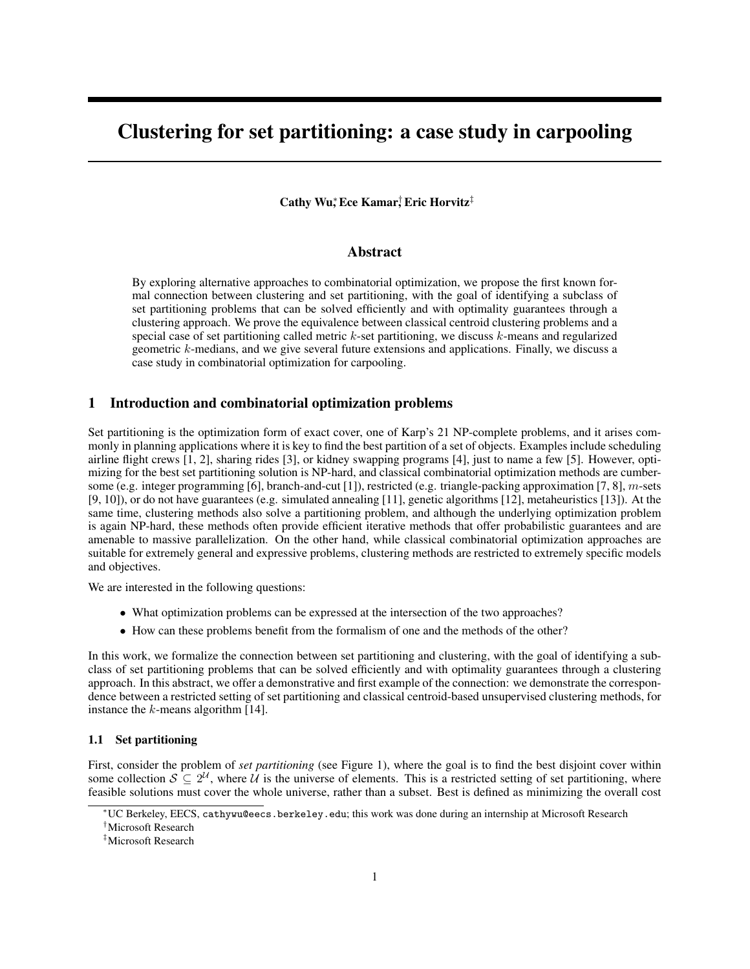# Clustering for set partitioning: a case study in carpooling

# Cathy Wu,<sup>\*</sup> Ece Kamar,† Eric Horvitz<sup>‡</sup>

## Abstract

By exploring alternative approaches to combinatorial optimization, we propose the first known formal connection between clustering and set partitioning, with the goal of identifying a subclass of set partitioning problems that can be solved efficiently and with optimality guarantees through a clustering approach. We prove the equivalence between classical centroid clustering problems and a special case of set partitioning called metric  $k$ -set partitioning, we discuss  $k$ -means and regularized geometric  $k$ -medians, and we give several future extensions and applications. Finally, we discuss a case study in combinatorial optimization for carpooling.

## 1 Introduction and combinatorial optimization problems

Set partitioning is the optimization form of exact cover, one of Karp's 21 NP-complete problems, and it arises commonly in planning applications where it is key to find the best partition of a set of objects. Examples include scheduling airline flight crews [1, 2], sharing rides [3], or kidney swapping programs [4], just to name a few [5]. However, optimizing for the best set partitioning solution is NP-hard, and classical combinatorial optimization methods are cumbersome (e.g. integer programming [6], branch-and-cut [1]), restricted (e.g. triangle-packing approximation [7, 8], m-sets [9, 10]), or do not have guarantees (e.g. simulated annealing [11], genetic algorithms [12], metaheuristics [13]). At the same time, clustering methods also solve a partitioning problem, and although the underlying optimization problem is again NP-hard, these methods often provide efficient iterative methods that offer probabilistic guarantees and are amenable to massive parallelization. On the other hand, while classical combinatorial optimization approaches are suitable for extremely general and expressive problems, clustering methods are restricted to extremely specific models and objectives.

We are interested in the following questions:

- What optimization problems can be expressed at the intersection of the two approaches?
- How can these problems benefit from the formalism of one and the methods of the other?

In this work, we formalize the connection between set partitioning and clustering, with the goal of identifying a subclass of set partitioning problems that can be solved efficiently and with optimality guarantees through a clustering approach. In this abstract, we offer a demonstrative and first example of the connection: we demonstrate the correspondence between a restricted setting of set partitioning and classical centroid-based unsupervised clustering methods, for instance the  $k$ -means algorithm [14].

## 1.1 Set partitioning

First, consider the problem of *set partitioning* (see Figure 1), where the goal is to find the best disjoint cover within some collection  $S \subseteq 2^{\mathcal{U}}$ , where  $\mathcal{U}$  is the universe of elements. This is a restricted setting of set partitioning, where feasible solutions must cover the whole universe, rather than a subset. Best is defined as minimizing the overall cost

<sup>∗</sup>UC Berkeley, EECS, cathywu@eecs.berkeley.edu; this work was done during an internship at Microsoft Research

<sup>†</sup>Microsoft Research

<sup>‡</sup>Microsoft Research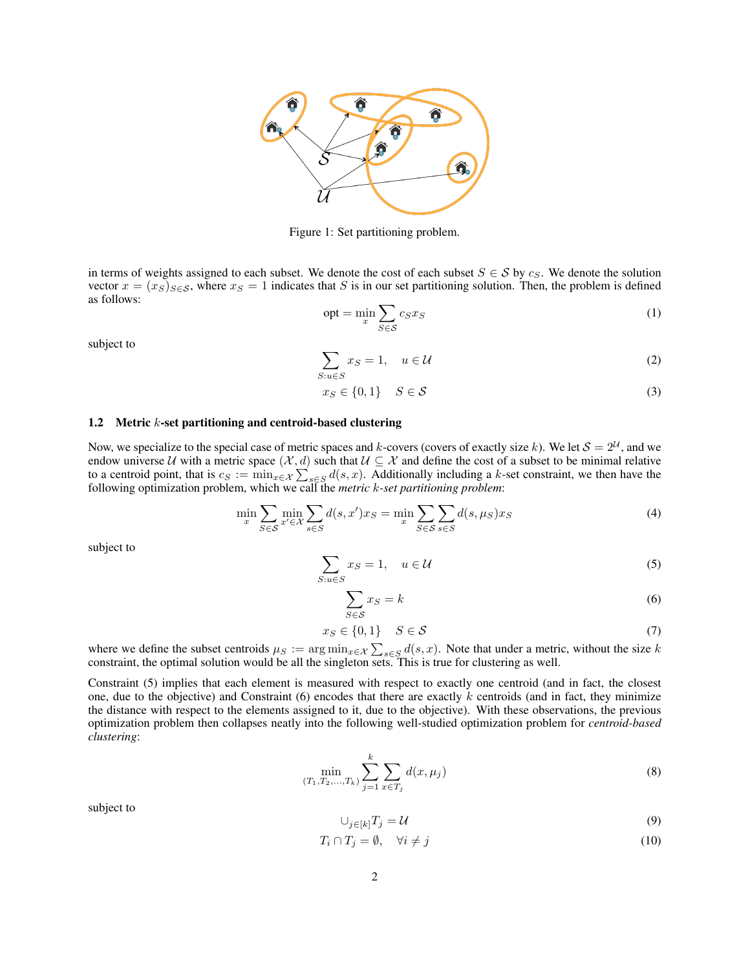

Figure 1: Set partitioning problem.

in terms of weights assigned to each subset. We denote the cost of each subset  $S \in S$  by  $c_S$ . We denote the solution vector  $x = (x_S)_{S \in \mathcal{S}}$ , where  $x_S = 1$  indicates that S is in our set partitioning solution. Then, the problem is defined as follows:

$$
opt = \min_{x} \sum_{S \in \mathcal{S}} c_S x_S \tag{1}
$$

subject to

$$
\sum_{S: u \in S} x_S = 1, \quad u \in \mathcal{U}
$$
 (2)

$$
x_S \in \{0, 1\} \quad S \in \mathcal{S} \tag{3}
$$

### 1.2 Metric k-set partitioning and centroid-based clustering

Now, we specialize to the special case of metric spaces and k-covers (covers of exactly size k). We let  $S = 2^{\mathcal{U}}$ , and we endow universe U with a metric space  $(\mathcal{X}, d)$  such that  $\mathcal{U} \subseteq \mathcal{X}$  and define the cost of a subset to be minimal relative to a centroid point, that is  $c_S := \min_{x \in \mathcal{X}} \sum_{s \in S} d(s, x)$ . Additionally including a k-set constraint, we then have the following optimization problem, which we call the *metric* k*-set partitioning problem*:

$$
\min_{x} \sum_{S \in \mathcal{S}} \min_{x' \in \mathcal{X}} \sum_{s \in S} d(s, x') x_S = \min_{x} \sum_{S \in \mathcal{S}} \sum_{s \in S} d(s, \mu_S) x_S
$$
\n(4)

subject to

$$
\sum_{S: u \in S} x_S = 1, \quad u \in \mathcal{U}
$$
\n<sup>(5)</sup>

$$
\sum_{S \in \mathcal{S}} x_S = k \tag{6}
$$

$$
x_S \in \{0, 1\} \quad S \in \mathcal{S} \tag{7}
$$

where we define the subset centroids  $\mu_S := \arg \min_{x \in \mathcal{X}} \sum_{s \in S} d(s, x)$ . Note that under a metric, without the size k constraint, the optimal solution would be all the singleton sets. This is true for clustering as well.

Constraint (5) implies that each element is measured with respect to exactly one centroid (and in fact, the closest one, due to the objective) and Constraint  $(6)$  encodes that there are exactly k centroids (and in fact, they minimize the distance with respect to the elements assigned to it, due to the objective). With these observations, the previous optimization problem then collapses neatly into the following well-studied optimization problem for *centroid-based clustering*:

$$
\min_{(T_1, T_2, \dots, T_k)} \sum_{j=1}^k \sum_{x \in T_j} d(x, \mu_j) \tag{8}
$$

subject to

$$
\bigcup_{j \in [k]} T_j = \mathcal{U} \tag{9}
$$

$$
T_i \cap T_j = \emptyset, \quad \forall i \neq j \tag{10}
$$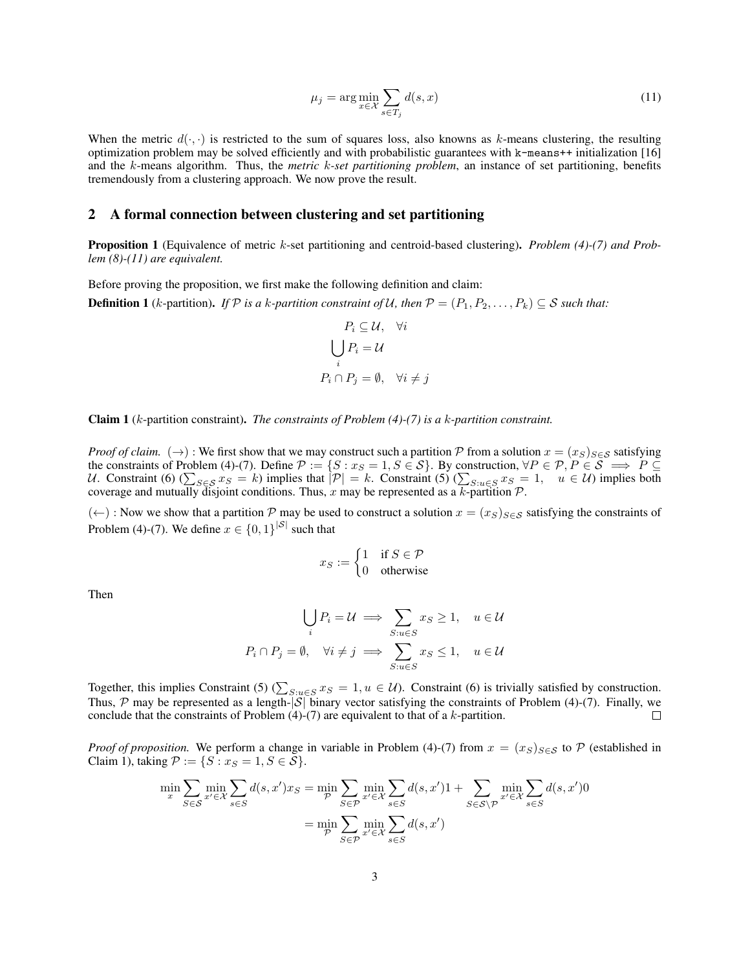$$
\mu_j = \arg\min_{x \in \mathcal{X}} \sum_{s \in T_j} d(s, x) \tag{11}
$$

When the metric  $d(\cdot, \cdot)$  is restricted to the sum of squares loss, also knowns as k-means clustering, the resulting optimization problem may be solved efficiently and with probabilistic guarantees with k-means++ initialization [16] and the k-means algorithm. Thus, the *metric* k*-set partitioning problem*, an instance of set partitioning, benefits tremendously from a clustering approach. We now prove the result.

# 2 A formal connection between clustering and set partitioning

Proposition 1 (Equivalence of metric k-set partitioning and centroid-based clustering). *Problem (4)-(7) and Problem (8)-(11) are equivalent.*

Before proving the proposition, we first make the following definition and claim:

**Definition 1** (k-partition). *If*  $P$  *is a k-partition constraint of*  $U$ *, then*  $P = (P_1, P_2, \ldots, P_k) \subseteq S$  *such that:* 

$$
P_i \subseteq \mathcal{U}, \quad \forall i
$$

$$
\bigcup_i P_i = \mathcal{U}
$$

$$
P_i \cap P_j = \emptyset, \quad \forall i \neq j
$$

 $P_1 = \frac{1}{2}$ 

Claim 1 (k-partition constraint). *The constraints of Problem (4)-(7) is a* k*-partition constraint.*

*Proof of claim.* (→): We first show that we may construct such a partition P from a solution  $x = (x_S)_{S \in S}$  satisfying the constraints of Problem (4)-(7). Define  $P := \{S : x_S = 1, S \in S\}$ . By construction,  $\forall P \in \mathcal{P}, P \in \mathcal{S} \implies P \subseteq \mathcal{S}$ U. Constraint (6) ( $\sum_{S \in \mathcal{S}} x_S = k$ ) implies that  $|\mathcal{P}| = k$ . Constraint (5) ( $\sum_{S: u \in \mathcal{S}} x_S = 1, u \in \mathcal{U}$ ) implies both coverage and mutually disjoint conditions. Thus, x may be represented as a k-partition  $P$ .

 $(\leftarrow)$ : Now we show that a partition P may be used to construct a solution  $x = (x_S)_{S \in \mathcal{S}}$  satisfying the constraints of Problem (4)-(7). We define  $x \in \{0,1\}^{|S|}$  such that

$$
x_S := \begin{cases} 1 & \text{if } S \in \mathcal{P} \\ 0 & \text{otherwise} \end{cases}
$$

Then

$$
\bigcup_{i} P_{i} = \mathcal{U} \implies \sum_{S: u \in S} x_{S} \ge 1, \quad u \in \mathcal{U}
$$
  

$$
P_{i} \cap P_{j} = \emptyset, \quad \forall i \ne j \implies \sum_{S: u \in S} x_{S} \le 1, \quad u \in \mathcal{U}
$$

Together, this implies Constraint (5) ( $\sum_{S:u\in S}x_S=1, u\in \mathcal{U}$ ). Constraint (6) is trivially satisfied by construction. Thus, P may be represented as a length- $|S|$  binary vector satisfying the constraints of Problem (4)-(7). Finally, we conclude that the constraints of Problem  $(4)-(7)$  are equivalent to that of a k-partition.  $\Box$ 

*Proof of proposition.* We perform a change in variable in Problem (4)-(7) from  $x = (x_S)_{S \in S}$  to P (established in Claim 1), taking  $\mathcal{P} := \{S : x_S = 1, S \in \mathcal{S}\}.$ 

$$
\min_{x} \sum_{S \in \mathcal{S}} \min_{x' \in \mathcal{X}} \sum_{s \in S} d(s, x') x_S = \min_{\mathcal{P}} \sum_{S \in \mathcal{P}} \min_{x' \in \mathcal{X}} \sum_{s \in S} d(s, x') 1 + \sum_{S \in \mathcal{S} \setminus \mathcal{P}} \min_{x' \in \mathcal{X}} \sum_{s \in S} d(s, x') 0
$$

$$
= \min_{\mathcal{P}} \sum_{S \in \mathcal{P}} \min_{x' \in \mathcal{X}} \sum_{s \in S} d(s, x')
$$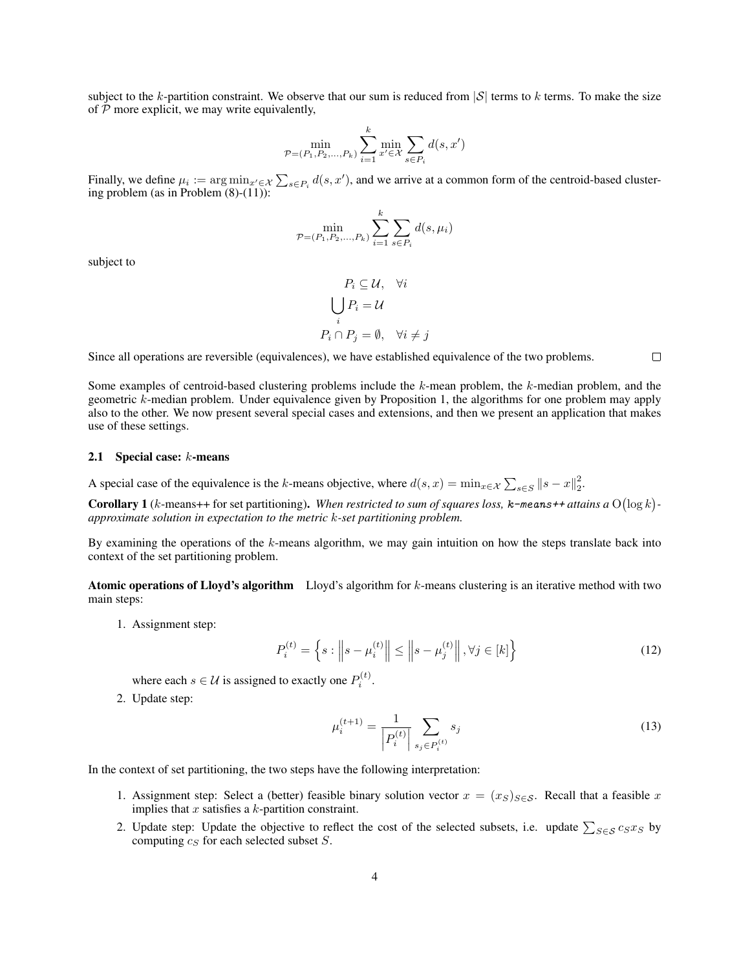subject to the k-partition constraint. We observe that our sum is reduced from  $|S|$  terms to k terms. To make the size of  $P$  more explicit, we may write equivalently,

$$
\min_{\mathcal{P} = (P_1, P_2, ..., P_k)} \sum_{i=1}^k \min_{x' \in \mathcal{X}} \sum_{s \in P_i} d(s, x')
$$

Finally, we define  $\mu_i := \arg\min_{x' \in \mathcal{X}} \sum_{s \in P_i} d(s, x')$ , and we arrive at a common form of the centroid-based clustering problem (as in Problem (8)-(11)):

$$
\min_{\mathcal{P} = (P_1, P_2, \dots, P_k)} \sum_{i=1}^k \sum_{s \in P_i} d(s, \mu_i)
$$

subject to

$$
P_i \subseteq \mathcal{U}, \quad \forall i
$$

$$
\bigcup_i P_i = \mathcal{U}
$$

$$
P_i \cap P_j = \emptyset, \quad \forall i \neq j
$$

Since all operations are reversible (equivalences), we have established equivalence of the two problems.

Some examples of centroid-based clustering problems include the k-mean problem, the k-median problem, and the geometric k-median problem. Under equivalence given by Proposition 1, the algorithms for one problem may apply also to the other. We now present several special cases and extensions, and then we present an application that makes use of these settings.

#### **2.1** Special case:  $k$ -means

A special case of the equivalence is the k-means objective, where  $d(s, x) = \min_{x \in \mathcal{X}} \sum_{s \in S} ||s - x||_2^2$ .

**Corollary 1** (*k*-means++ for set partitioning). When restricted to sum of squares loss,  $\kappa$ -means++ attains a  $O(\log k)$ *approximate solution in expectation to the metric* k*-set partitioning problem.*

By examining the operations of the  $k$ -means algorithm, we may gain intuition on how the steps translate back into context of the set partitioning problem.

Atomic operations of Lloyd's algorithm Lloyd's algorithm for k-means clustering is an iterative method with two main steps:

1. Assignment step:

$$
P_i^{(t)} = \left\{ s : \left\| s - \mu_i^{(t)} \right\| \le \left\| s - \mu_j^{(t)} \right\|, \forall j \in [k] \right\}
$$
 (12)

where each  $s \in \mathcal{U}$  is assigned to exactly one  $P_i^{(t)}$ .

2. Update step:

$$
\mu_i^{(t+1)} = \frac{1}{\left| P_i^{(t)} \right|} \sum_{s_j \in P_i^{(t)}} s_j \tag{13}
$$

In the context of set partitioning, the two steps have the following interpretation:

- 1. Assignment step: Select a (better) feasible binary solution vector  $x = (x_S)_{S \in S}$ . Recall that a feasible x implies that  $x$  satisfies a  $k$ -partition constraint.
- 2. Update step: Update the objective to reflect the cost of the selected subsets, i.e. update  $\sum_{S \in \mathcal{S}} c_S x_S$  by computing  $c_S$  for each selected subset  $S$ .

 $\Box$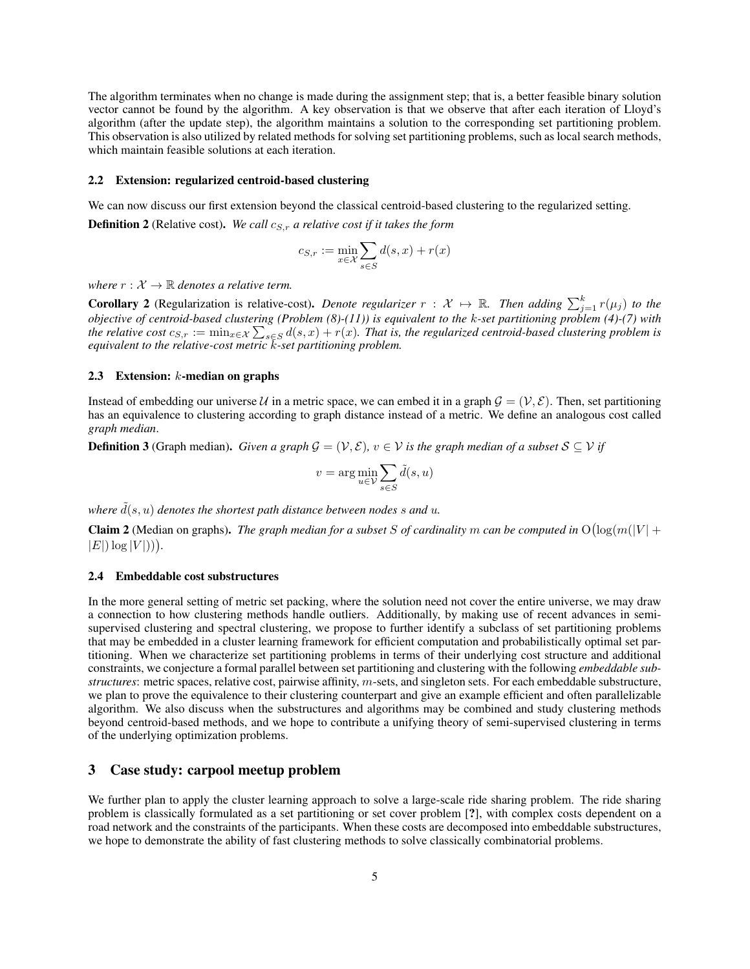The algorithm terminates when no change is made during the assignment step; that is, a better feasible binary solution vector cannot be found by the algorithm. A key observation is that we observe that after each iteration of Lloyd's algorithm (after the update step), the algorithm maintains a solution to the corresponding set partitioning problem. This observation is also utilized by related methods for solving set partitioning problems, such as local search methods, which maintain feasible solutions at each iteration.

#### 2.2 Extension: regularized centroid-based clustering

We can now discuss our first extension beyond the classical centroid-based clustering to the regularized setting. **Definition 2** (Relative cost). *We call*  $c_{S,r}$  *a relative cost if it takes the form* 

$$
c_{S,r} := \min_{x \in \mathcal{X}} \sum_{s \in S} d(s,x) + r(x)
$$

*where*  $r : \mathcal{X} \to \mathbb{R}$  *denotes a relative term.* 

**Corollary 2** (Regularization is relative-cost). *Denote regularizer*  $r : \mathcal{X} \mapsto \mathbb{R}$ . Then adding  $\sum_{j=1}^{k} r(\mu_j)$  to the *objective of centroid-based clustering (Problem (8)-(11)) is equivalent to the* k*-set partitioning problem (4)-(7) with* the relative cost  $c_{S,r}:=\min_{x\in X}\sum_{s\in S}d(s,x)+r(x).$  That is, the regularized centroid-based clustering problem is *equivalent to the relative-cost metric* k*-set partitioning problem.*

#### 2.3 Extension:  $k$ -median on graphs

Instead of embedding our universe U in a metric space, we can embed it in a graph  $\mathcal{G} = (\mathcal{V}, \mathcal{E})$ . Then, set partitioning has an equivalence to clustering according to graph distance instead of a metric. We define an analogous cost called *graph median*.

**Definition 3** (Graph median). *Given a graph*  $\mathcal{G} = (\mathcal{V}, \mathcal{E})$ ,  $v \in \mathcal{V}$  *is the graph median of a subset*  $S \subseteq \mathcal{V}$  *if* 

$$
v = \arg\min_{u \in \mathcal{V}} \sum_{s \in S} \tilde{d}(s, u)
$$

*where*  $\tilde{d}(s, u)$  *denotes the shortest path distance between nodes s and u.* 

**Claim 2** (Median on graphs). The graph median for a subset S of cardinality m can be computed in  $O(log(m(|V| +$  $|E|$ )  $\log |V|$ )).

#### 2.4 Embeddable cost substructures

In the more general setting of metric set packing, where the solution need not cover the entire universe, we may draw a connection to how clustering methods handle outliers. Additionally, by making use of recent advances in semisupervised clustering and spectral clustering, we propose to further identify a subclass of set partitioning problems that may be embedded in a cluster learning framework for efficient computation and probabilistically optimal set partitioning. When we characterize set partitioning problems in terms of their underlying cost structure and additional constraints, we conjecture a formal parallel between set partitioning and clustering with the following *embeddable substructures*: metric spaces, relative cost, pairwise affinity, m-sets, and singleton sets. For each embeddable substructure, we plan to prove the equivalence to their clustering counterpart and give an example efficient and often parallelizable algorithm. We also discuss when the substructures and algorithms may be combined and study clustering methods beyond centroid-based methods, and we hope to contribute a unifying theory of semi-supervised clustering in terms of the underlying optimization problems.

# 3 Case study: carpool meetup problem

We further plan to apply the cluster learning approach to solve a large-scale ride sharing problem. The ride sharing problem is classically formulated as a set partitioning or set cover problem [?], with complex costs dependent on a road network and the constraints of the participants. When these costs are decomposed into embeddable substructures, we hope to demonstrate the ability of fast clustering methods to solve classically combinatorial problems.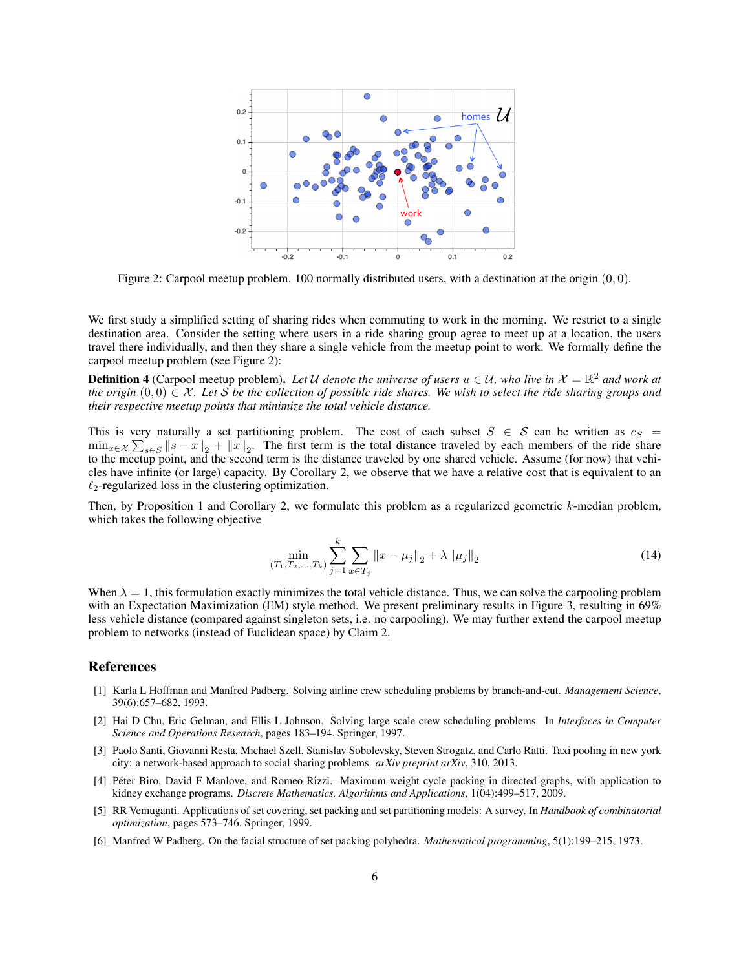

Figure 2: Carpool meetup problem. 100 normally distributed users, with a destination at the origin  $(0, 0)$ .

We first study a simplified setting of sharing rides when commuting to work in the morning. We restrict to a single destination area. Consider the setting where users in a ride sharing group agree to meet up at a location, the users travel there individually, and then they share a single vehicle from the meetup point to work. We formally define the carpool meetup problem (see Figure 2):

**Definition 4** (Carpool meetup problem). Let U denote the universe of users  $u \in U$ , who live in  $\mathcal{X} = \mathbb{R}^2$  and work at *the origin*  $(0,0) \in \mathcal{X}$ *. Let* S *be the collection of possible ride shares. We wish to select the ride sharing groups and their respective meetup points that minimize the total vehicle distance.*

This is very naturally a set partitioning problem. The cost of each subset  $S \in S$  can be written as  $c_S =$  $\min_{x \in \mathcal{X}} \sum_{s \in S} ||s - x||_2 + ||x||_2$ . The first term is the total distance traveled by each members of the ride share to the meetup point, and the second term is the distance traveled by one shared vehicle. Assume (for now) that vehicles have infinite (or large) capacity. By Corollary 2, we observe that we have a relative cost that is equivalent to an  $\ell_2$ -regularized loss in the clustering optimization.

Then, by Proposition 1 and Corollary 2, we formulate this problem as a regularized geometric k-median problem, which takes the following objective

$$
\min_{(T_1, T_2, \dots, T_k)} \sum_{j=1}^k \sum_{x \in T_j} ||x - \mu_j||_2 + \lambda ||\mu_j||_2 \tag{14}
$$

When  $\lambda = 1$ , this formulation exactly minimizes the total vehicle distance. Thus, we can solve the carpooling problem with an Expectation Maximization (EM) style method. We present preliminary results in Figure 3, resulting in 69% less vehicle distance (compared against singleton sets, i.e. no carpooling). We may further extend the carpool meetup problem to networks (instead of Euclidean space) by Claim 2.

## References

- [1] Karla L Hoffman and Manfred Padberg. Solving airline crew scheduling problems by branch-and-cut. *Management Science*, 39(6):657–682, 1993.
- [2] Hai D Chu, Eric Gelman, and Ellis L Johnson. Solving large scale crew scheduling problems. In *Interfaces in Computer Science and Operations Research*, pages 183–194. Springer, 1997.
- [3] Paolo Santi, Giovanni Resta, Michael Szell, Stanislav Sobolevsky, Steven Strogatz, and Carlo Ratti. Taxi pooling in new york city: a network-based approach to social sharing problems. *arXiv preprint arXiv*, 310, 2013.
- [4] Peter Biro, David F Manlove, and Romeo Rizzi. Maximum weight cycle packing in directed graphs, with application to ´ kidney exchange programs. *Discrete Mathematics, Algorithms and Applications*, 1(04):499–517, 2009.
- [5] RR Vemuganti. Applications of set covering, set packing and set partitioning models: A survey. In *Handbook of combinatorial optimization*, pages 573–746. Springer, 1999.
- [6] Manfred W Padberg. On the facial structure of set packing polyhedra. *Mathematical programming*, 5(1):199–215, 1973.